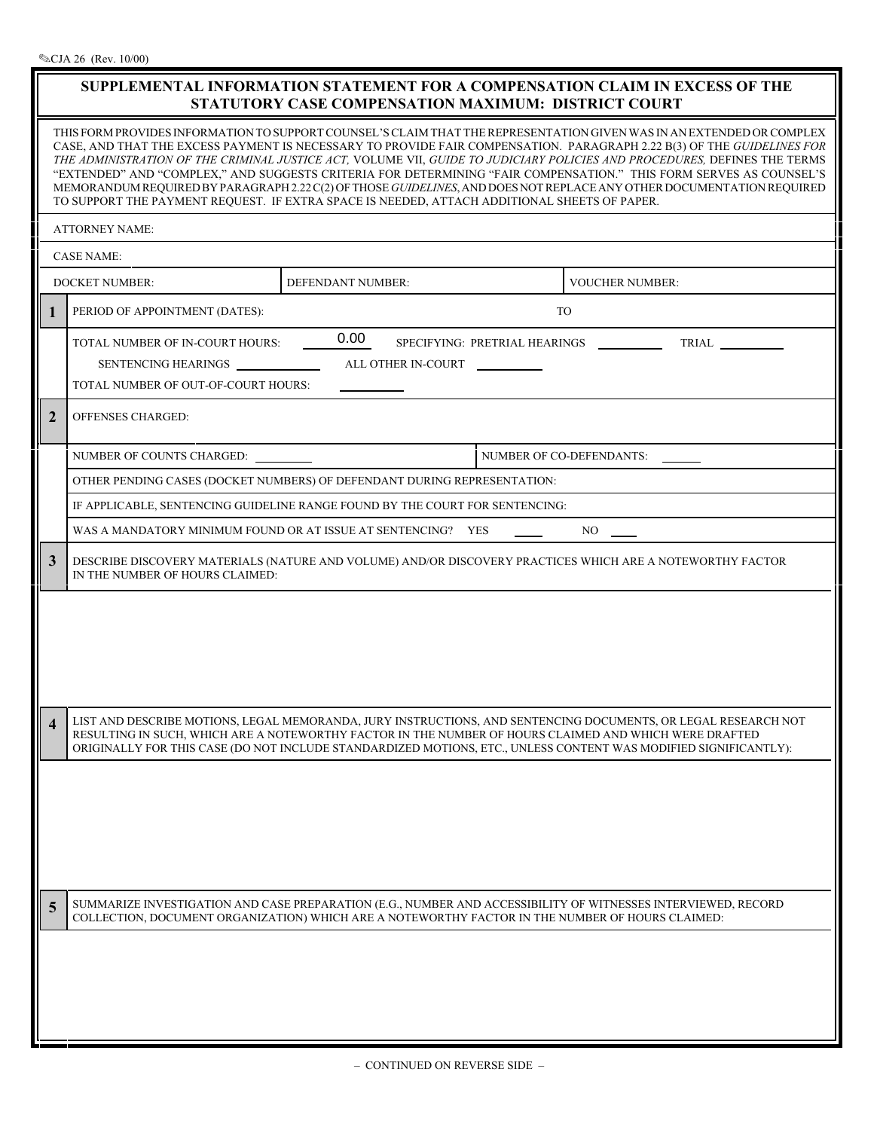| SUPPLEMENTAL INFORMATION STATEMENT FOR A COMPENSATION CLAIM IN EXCESS OF THE<br>STATUTORY CASE COMPENSATION MAXIMUM: DISTRICT COURT                                                                                                                                                                                                                                                                                                                                                                                                                                                                                                                                                                                         |                                                                                                                                                                                     |  |  |                                                                                                                                                                                                                                    |  |  |  |
|-----------------------------------------------------------------------------------------------------------------------------------------------------------------------------------------------------------------------------------------------------------------------------------------------------------------------------------------------------------------------------------------------------------------------------------------------------------------------------------------------------------------------------------------------------------------------------------------------------------------------------------------------------------------------------------------------------------------------------|-------------------------------------------------------------------------------------------------------------------------------------------------------------------------------------|--|--|------------------------------------------------------------------------------------------------------------------------------------------------------------------------------------------------------------------------------------|--|--|--|
| THIS FORM PROVIDES INFORMATION TO SUPPORT COUNSEL'S CLAIM THAT THE REPRESENTATION GIVEN WAS IN AN EXTENDED OR COMPLEX<br>CASE, AND THAT THE EXCESS PAYMENT IS NECESSARY TO PROVIDE FAIR COMPENSATION. PARAGRAPH 2.22 B(3) OF THE GUIDELINES FOR<br>THE ADMINISTRATION OF THE CRIMINAL JUSTICE ACT, VOLUME VII, GUIDE TO JUDICIARY POLICIES AND PROCEDURES, DEFINES THE TERMS<br>"EXTENDED" AND "COMPLEX," AND SUGGESTS CRITERIA FOR DETERMINING "FAIR COMPENSATION." THIS FORM SERVES AS COUNSEL'S<br>MEMORANDUM REQUIRED BY PARAGRAPH 2.22 C(2) OF THOSE GUIDELINES, AND DOES NOT REPLACE ANY OTHER DOCUMENTATION REQUIRED<br>TO SUPPORT THE PAYMENT REQUEST. IF EXTRA SPACE IS NEEDED, ATTACH ADDITIONAL SHEETS OF PAPER. |                                                                                                                                                                                     |  |  |                                                                                                                                                                                                                                    |  |  |  |
|                                                                                                                                                                                                                                                                                                                                                                                                                                                                                                                                                                                                                                                                                                                             | <b>ATTORNEY NAME:</b>                                                                                                                                                               |  |  |                                                                                                                                                                                                                                    |  |  |  |
| <b>CASE NAME:</b>                                                                                                                                                                                                                                                                                                                                                                                                                                                                                                                                                                                                                                                                                                           |                                                                                                                                                                                     |  |  |                                                                                                                                                                                                                                    |  |  |  |
|                                                                                                                                                                                                                                                                                                                                                                                                                                                                                                                                                                                                                                                                                                                             | <b>DOCKET NUMBER:</b><br>DEFENDANT NUMBER:                                                                                                                                          |  |  | VOUCHER NUMBER:                                                                                                                                                                                                                    |  |  |  |
| 1                                                                                                                                                                                                                                                                                                                                                                                                                                                                                                                                                                                                                                                                                                                           | PERIOD OF APPOINTMENT (DATES):                                                                                                                                                      |  |  | <b>TO</b>                                                                                                                                                                                                                          |  |  |  |
|                                                                                                                                                                                                                                                                                                                                                                                                                                                                                                                                                                                                                                                                                                                             | 0.00<br>SPECIFYING: PRETRIAL HEARINGS<br>TOTAL NUMBER OF IN-COURT HOURS:<br><b>TRIAL</b><br>ALL OTHER IN-COURT<br><b>SENTENCING HEARINGS</b><br>TOTAL NUMBER OF OUT-OF-COURT HOURS: |  |  |                                                                                                                                                                                                                                    |  |  |  |
| $\overline{2}$                                                                                                                                                                                                                                                                                                                                                                                                                                                                                                                                                                                                                                                                                                              | <b>OFFENSES CHARGED:</b>                                                                                                                                                            |  |  |                                                                                                                                                                                                                                    |  |  |  |
|                                                                                                                                                                                                                                                                                                                                                                                                                                                                                                                                                                                                                                                                                                                             | NUMBER OF COUNTS CHARGED:                                                                                                                                                           |  |  | NUMBER OF CO-DEFENDANTS:                                                                                                                                                                                                           |  |  |  |
|                                                                                                                                                                                                                                                                                                                                                                                                                                                                                                                                                                                                                                                                                                                             | OTHER PENDING CASES (DOCKET NUMBERS) OF DEFENDANT DURING REPRESENTATION:                                                                                                            |  |  |                                                                                                                                                                                                                                    |  |  |  |
|                                                                                                                                                                                                                                                                                                                                                                                                                                                                                                                                                                                                                                                                                                                             | IF APPLICABLE, SENTENCING GUIDELINE RANGE FOUND BY THE COURT FOR SENTENCING:                                                                                                        |  |  |                                                                                                                                                                                                                                    |  |  |  |
|                                                                                                                                                                                                                                                                                                                                                                                                                                                                                                                                                                                                                                                                                                                             | WAS A MANDATORY MINIMUM FOUND OR AT ISSUE AT SENTENCING? YES<br>NO.                                                                                                                 |  |  |                                                                                                                                                                                                                                    |  |  |  |
| 3                                                                                                                                                                                                                                                                                                                                                                                                                                                                                                                                                                                                                                                                                                                           | DESCRIBE DISCOVERY MATERIALS (NATURE AND VOLUME) AND/OR DISCOVERY PRACTICES WHICH ARE A NOTEWORTHY FACTOR<br>IN THE NUMBER OF HOURS CLAIMED:                                        |  |  |                                                                                                                                                                                                                                    |  |  |  |
|                                                                                                                                                                                                                                                                                                                                                                                                                                                                                                                                                                                                                                                                                                                             |                                                                                                                                                                                     |  |  |                                                                                                                                                                                                                                    |  |  |  |
|                                                                                                                                                                                                                                                                                                                                                                                                                                                                                                                                                                                                                                                                                                                             | RESULTING IN SUCH, WHICH ARE A NOTEWORTHY FACTOR IN THE NUMBER OF HOURS CLAIMED AND WHICH WERE DRAFTED                                                                              |  |  | LIST AND DESCRIBE MOTIONS, LEGAL MEMORANDA, JURY INSTRUCTIONS, AND SENTENCING DOCUMENTS, OR LEGAL RESEARCH NOT<br>ORIGINALLY FOR THIS CASE (DO NOT INCLUDE STANDARDIZED MOTIONS, ETC., UNLESS CONTENT WAS MODIFIED SIGNIFICANTLY): |  |  |  |
|                                                                                                                                                                                                                                                                                                                                                                                                                                                                                                                                                                                                                                                                                                                             |                                                                                                                                                                                     |  |  |                                                                                                                                                                                                                                    |  |  |  |
| 5                                                                                                                                                                                                                                                                                                                                                                                                                                                                                                                                                                                                                                                                                                                           | COLLECTION, DOCUMENT ORGANIZATION) WHICH ARE A NOTEWORTHY FACTOR IN THE NUMBER OF HOURS CLAIMED:                                                                                    |  |  | SUMMARIZE INVESTIGATION AND CASE PREPARATION (E.G., NUMBER AND ACCESSIBILITY OF WITNESSES INTERVIEWED, RECORD                                                                                                                      |  |  |  |
|                                                                                                                                                                                                                                                                                                                                                                                                                                                                                                                                                                                                                                                                                                                             |                                                                                                                                                                                     |  |  |                                                                                                                                                                                                                                    |  |  |  |